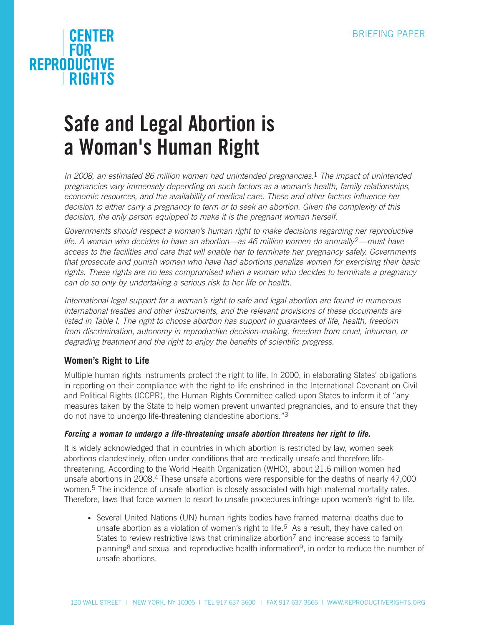# **CENTER**<br>FOR **REPRODUCTIVE RIGHTS**

# **Safe and Legal Abortion is a Woman's Human Right**

*In 2008, an estimated 86 million women had unintended pregnancies.*1 *The impact of unintended pregnancies vary immensely depending on such factors as a woman's health, family relationships, economic resources, and the availability of medical care. These and other factors influence her decision to either carry a pregnancy to term or to seek an abortion. Given the complexity of this*  decision, the only person equipped to make it is the pregnant woman herself.

*Governments should respect a woman's human right to make decisions regarding her reproductive life. A woman who decides to have an abortion—as 46 million women do annually* 2*—must have access to the facilities and care that will enable her to terminate her pregnancy safely. Governments that prosecute and punish women who have had abortions penalize women for exercising their basic rights. These rights are no less compromised when a woman who decides to terminate a pregnancy can do so only by undertaking a serious risk to her life or health.* 

*International legal support for a woman's right to safe and legal abortion are found in numerous international treaties and other instruments, and the relevant provisions of these documents are listed in Table I. The right to choose abortion has support in guarantees of life, health, freedom from discrimination, autonomy in reproductive decision-making, freedom from cruel, inhuman, or degrading treatment and the right to enjoy the benefits of scientific progress.*

### **Women's Right to Life**

Multiple human rights instruments protect the right to life. In 2000, in elaborating States' obligations in reporting on their compliance with the right to life enshrined in the International Covenant on Civil and Political Rights (ICCPR), the Human Rights Committee called upon States to inform it of "any measures taken by the State to help women prevent unwanted pregnancies, and to ensure that they do not have to undergo life-threatening clandestine abortions."3

#### *Forcing a woman to undergo a life-threatening unsafe abortion threatens her right to life.*

It is widely acknowledged that in countries in which abortion is restricted by law, women seek abortions clandestinely, often under conditions that are medically unsafe and therefore lifethreatening. According to the World Health Organization (WHO), about 21.6 million women had unsafe abortions in 2008.4 These unsafe abortions were responsible for the deaths of nearly 47,000 women.<sup>5</sup> The incidence of unsafe abortion is closely associated with high maternal mortality rates. Therefore, laws that force women to resort to unsafe procedures infringe upon women's right to life.

• Several United Nations (UN) human rights bodies have framed maternal deaths due to unsafe abortion as a violation of women's right to life.6 As a result, they have called on States to review restrictive laws that criminalize abortion<sup>7</sup> and increase access to family planning<sup>8</sup> and sexual and reproductive health information<sup>9</sup>, in order to reduce the number of unsafe abortions.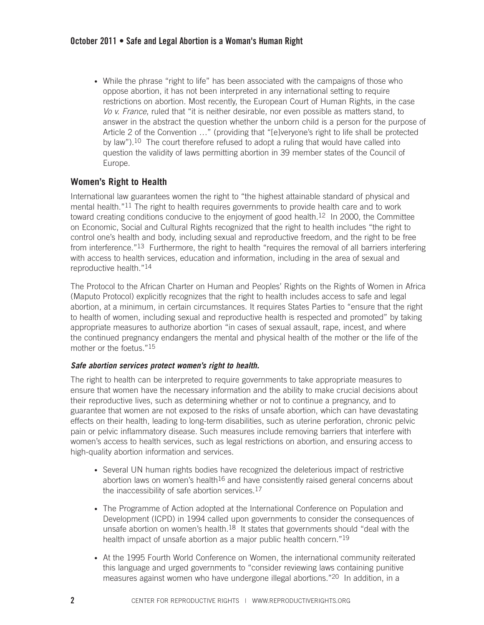• While the phrase "right to life" has been associated with the campaigns of those who oppose abortion, it has not been interpreted in any international setting to require restrictions on abortion. Most recently, the European Court of Human Rights, in the case *Vo v. France*, ruled that "it is neither desirable, nor even possible as matters stand, to answer in the abstract the question whether the unborn child is a person for the purpose of Article 2 of the Convention …" (providing that "[e]veryone's right to life shall be protected by law").<sup>10</sup> The court therefore refused to adopt a ruling that would have called into question the validity of laws permitting abortion in 39 member states of the Council of Europe.

#### **Women's Right to Health**

International law guarantees women the right to "the highest attainable standard of physical and mental health."11 The right to health requires governments to provide health care and to work toward creating conditions conducive to the enjoyment of good health.<sup>12</sup> In 2000, the Committee on Economic, Social and Cultural Rights recognized that the right to health includes "the right to control one's health and body, including sexual and reproductive freedom, and the right to be free from interference."13 Furthermore, the right to health "requires the removal of all barriers interfering with access to health services, education and information, including in the area of sexual and reproductive health."14

The Protocol to the African Charter on Human and Peoples' Rights on the Rights of Women in Africa (Maputo Protocol) explicitly recognizes that the right to health includes access to safe and legal abortion, at a minimum, in certain circumstances. It requires States Parties to "ensure that the right to health of women, including sexual and reproductive health is respected and promoted" by taking appropriate measures to authorize abortion "in cases of sexual assault, rape, incest, and where the continued pregnancy endangers the mental and physical health of the mother or the life of the mother or the foetus."15

#### *Safe abortion services protect women's right to health.*

The right to health can be interpreted to require governments to take appropriate measures to ensure that women have the necessary information and the ability to make crucial decisions about their reproductive lives, such as determining whether or not to continue a pregnancy, and to guarantee that women are not exposed to the risks of unsafe abortion, which can have devastating effects on their health, leading to long-term disabilities, such as uterine perforation, chronic pelvic pain or pelvic inflammatory disease. Such measures include removing barriers that interfere with women's access to health services, such as legal restrictions on abortion, and ensuring access to high-quality abortion information and services.

- Several UN human rights bodies have recognized the deleterious impact of restrictive abortion laws on women's health $16$  and have consistently raised general concerns about the inaccessibility of safe abortion services.<sup>17</sup>
- The Programme of Action adopted at the International Conference on Population and Development (ICPD) in 1994 called upon governments to consider the consequences of unsafe abortion on women's health.<sup>18</sup> It states that governments should "deal with the health impact of unsafe abortion as a major public health concern."<sup>19</sup>
- At the 1995 Fourth World Conference on Women, the international community reiterated this language and urged governments to "consider reviewing laws containing punitive measures against women who have undergone illegal abortions."20 In addition, in a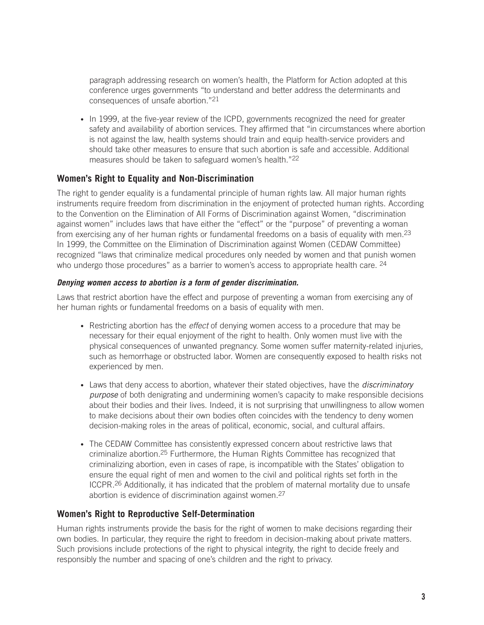paragraph addressing research on women's health, the Platform for Action adopted at this conference urges governments "to understand and better address the determinants and consequences of unsafe abortion."21

• In 1999, at the five-year review of the ICPD, governments recognized the need for greater safety and availability of abortion services. They affirmed that "in circumstances where abortion is not against the law, health systems should train and equip health-service providers and should take other measures to ensure that such abortion is safe and accessible. Additional measures should be taken to safeguard women's health."22

#### **Women's Right to Equality and Non-Discrimination**

The right to gender equality is a fundamental principle of human rights law. All major human rights instruments require freedom from discrimination in the enjoyment of protected human rights. According to the Convention on the Elimination of All Forms of Discrimination against Women, "discrimination against women" includes laws that have either the "effect" or the "purpose" of preventing a woman from exercising any of her human rights or fundamental freedoms on a basis of equality with men.23 In 1999, the Committee on the Elimination of Discrimination against Women (CEDAW Committee) recognized "laws that criminalize medical procedures only needed by women and that punish women who undergo those procedures" as a barrier to women's access to appropriate health care. <sup>24</sup>

#### *Denying women access to abortion is a form of gender discrimination.*

Laws that restrict abortion have the effect and purpose of preventing a woman from exercising any of her human rights or fundamental freedoms on a basis of equality with men.

- Restricting abortion has the *effect* of denying women access to a procedure that may be necessary for their equal enjoyment of the right to health. Only women must live with the physical consequences of unwanted pregnancy. Some women suffer maternity-related injuries, such as hemorrhage or obstructed labor. Women are consequently exposed to health risks not experienced by men.
- Laws that deny access to abortion, whatever their stated objectives, have the *discriminatory purpose* of both denigrating and undermining women's capacity to make responsible decisions about their bodies and their lives. Indeed, it is not surprising that unwillingness to allow women to make decisions about their own bodies often coincides with the tendency to deny women decision-making roles in the areas of political, economic, social, and cultural affairs.
- The CEDAW Committee has consistently expressed concern about restrictive laws that criminalize abortion.25 Furthermore, the Human Rights Committee has recognized that criminalizing abortion, even in cases of rape, is incompatible with the States' obligation to ensure the equal right of men and women to the civil and political rights set forth in the ICCPR.26 Additionally, it has indicated that the problem of maternal mortality due to unsafe abortion is evidence of discrimination against women.27

#### **Women's Right to Reproductive Self-Determination**

Human rights instruments provide the basis for the right of women to make decisions regarding their own bodies. In particular, they require the right to freedom in decision-making about private matters. Such provisions include protections of the right to physical integrity, the right to decide freely and responsibly the number and spacing of one's children and the right to privacy.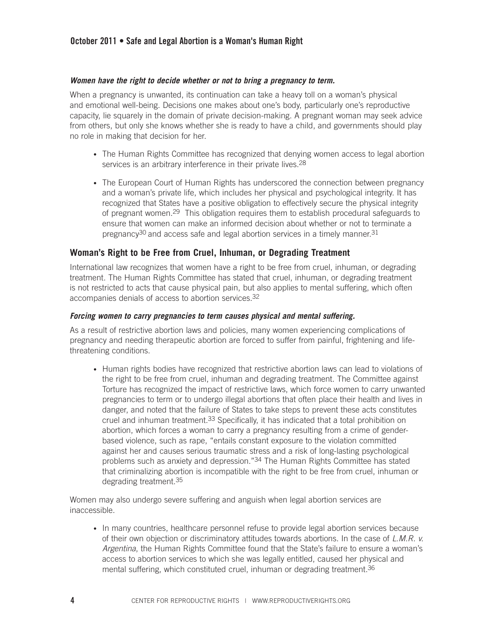#### **October 2011 • Safe and Legal Abortion is a Woman's Human Right**

#### *Women have the right to decide whether or not to bring a pregnancy to term.*

When a pregnancy is unwanted, its continuation can take a heavy toll on a woman's physical and emotional well-being. Decisions one makes about one's body, particularly one's reproductive capacity, lie squarely in the domain of private decision-making. A pregnant woman may seek advice from others, but only she knows whether she is ready to have a child, and governments should play no role in making that decision for her.

- The Human Rights Committee has recognized that denying women access to legal abortion services is an arbitrary interference in their private lives.<sup>28</sup>
- The European Court of Human Rights has underscored the connection between pregnancy and a woman's private life, which includes her physical and psychological integrity. It has recognized that States have a positive obligation to effectively secure the physical integrity of pregnant women.29 This obligation requires them to establish procedural safeguards to ensure that women can make an informed decision about whether or not to terminate a pregnancy<sup>30</sup> and access safe and legal abortion services in a timely manner.<sup>31</sup>

#### **Woman's Right to be Free from Cruel, Inhuman, or Degrading Treatment**

International law recognizes that women have a right to be free from cruel, inhuman, or degrading treatment. The Human Rights Committee has stated that cruel, inhuman, or degrading treatment is not restricted to acts that cause physical pain, but also applies to mental suffering, which often accompanies denials of access to abortion services.32

#### *Forcing women to carry pregnancies to term causes physical and mental suffering.*

As a result of restrictive abortion laws and policies, many women experiencing complications of pregnancy and needing therapeutic abortion are forced to suffer from painful, frightening and lifethreatening conditions.

• Human rights bodies have recognized that restrictive abortion laws can lead to violations of the right to be free from cruel, inhuman and degrading treatment. The Committee against Torture has recognized the impact of restrictive laws, which force women to carry unwanted pregnancies to term or to undergo illegal abortions that often place their health and lives in danger, and noted that the failure of States to take steps to prevent these acts constitutes cruel and inhuman treatment.33 Specifically, it has indicated that a total prohibition on abortion, which forces a woman to carry a pregnancy resulting from a crime of genderbased violence, such as rape, "entails constant exposure to the violation committed against her and causes serious traumatic stress and a risk of long-lasting psychological problems such as anxiety and depression."34 The Human Rights Committee has stated that criminalizing abortion is incompatible with the right to be free from cruel, inhuman or degrading treatment.35

Women may also undergo severe suffering and anguish when legal abortion services are inaccessible.

• In many countries, healthcare personnel refuse to provide legal abortion services because of their own objection or discriminatory attitudes towards abortions. In the case of *L.M.R. v. Argentina*, the Human Rights Committee found that the State's failure to ensure a woman's access to abortion services to which she was legally entitled, caused her physical and mental suffering, which constituted cruel, inhuman or degrading treatment.36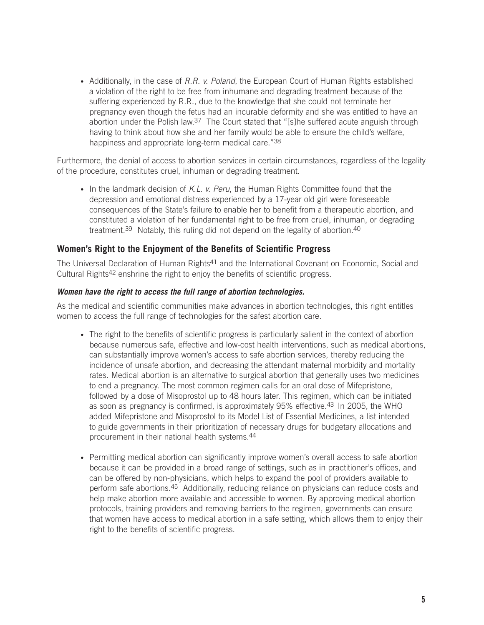• Additionally, in the case of *R.R. v. Poland*, the European Court of Human Rights established a violation of the right to be free from inhumane and degrading treatment because of the suffering experienced by R.R., due to the knowledge that she could not terminate her pregnancy even though the fetus had an incurable deformity and she was entitled to have an abortion under the Polish law.<sup>37</sup> The Court stated that "[s]he suffered acute anguish through having to think about how she and her family would be able to ensure the child's welfare, happiness and appropriate long-term medical care."38

Furthermore, the denial of access to abortion services in certain circumstances, regardless of the legality of the procedure, constitutes cruel, inhuman or degrading treatment.

• In the landmark decision of *K.L. v. Peru*, the Human Rights Committee found that the depression and emotional distress experienced by a 17-year old girl were foreseeable consequences of the State's failure to enable her to benefit from a therapeutic abortion, and constituted a violation of her fundamental right to be free from cruel, inhuman, or degrading treatment.<sup>39</sup> Notably, this ruling did not depend on the legality of abortion.<sup>40</sup>

#### **Women's Right to the Enjoyment of the Benefits of Scientific Progress**

The Universal Declaration of Human Rights<sup>41</sup> and the International Covenant on Economic, Social and Cultural Rights42 enshrine the right to enjoy the benefits of scientific progress.

#### *Women have the right to access the full range of abortion technologies.*

As the medical and scientific communities make advances in abortion technologies, this right entitles women to access the full range of technologies for the safest abortion care.

- The right to the benefits of scientific progress is particularly salient in the context of abortion because numerous safe, effective and low-cost health interventions, such as medical abortions, can substantially improve women's access to safe abortion services, thereby reducing the incidence of unsafe abortion, and decreasing the attendant maternal morbidity and mortality rates. Medical abortion is an alternative to surgical abortion that generally uses two medicines to end a pregnancy. The most common regimen calls for an oral dose of Mifepristone, followed by a dose of Misoprostol up to 48 hours later. This regimen, which can be initiated as soon as pregnancy is confirmed, is approximately 95% effective.43 In 2005, the WHO added Mifepristone and Misoprostol to its Model List of Essential Medicines, a list intended to guide governments in their prioritization of necessary drugs for budgetary allocations and procurement in their national health systems.44
- Permitting medical abortion can significantly improve women's overall access to safe abortion because it can be provided in a broad range of settings, such as in practitioner's offices, and can be offered by non-physicians, which helps to expand the pool of providers available to perform safe abortions.45 Additionally, reducing reliance on physicians can reduce costs and help make abortion more available and accessible to women. By approving medical abortion protocols, training providers and removing barriers to the regimen, governments can ensure that women have access to medical abortion in a safe setting, which allows them to enjoy their right to the benefits of scientific progress.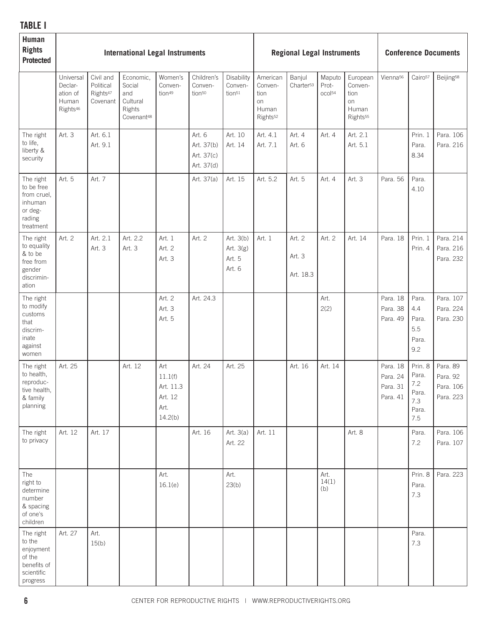## **TABLE I**

| Human<br><b>Rights</b><br><b>Protected</b>                                          | <b>International Legal Instruments</b>                            |                                                            |                                                                            |                                                           |                                                  |                                             | <b>Regional Legal Instruments</b>                                  |                                 |                                       |                                                                    | <b>Conference Documents</b>                  |                                                         |                                                |
|-------------------------------------------------------------------------------------|-------------------------------------------------------------------|------------------------------------------------------------|----------------------------------------------------------------------------|-----------------------------------------------------------|--------------------------------------------------|---------------------------------------------|--------------------------------------------------------------------|---------------------------------|---------------------------------------|--------------------------------------------------------------------|----------------------------------------------|---------------------------------------------------------|------------------------------------------------|
|                                                                                     | Universal<br>Declar-<br>ation of<br>Human<br>Rights <sup>46</sup> | Civil and<br>Political<br>Rights <sup>47</sup><br>Covenant | Economic,<br>Social<br>and<br>Cultural<br>Rights<br>Covenant <sup>48</sup> | Women's<br>Conven-<br>tion <sup>49</sup>                  | Children's<br>Conven-<br>tion <sup>50</sup>      | Disability<br>Conven-<br>tion <sup>51</sup> | American<br>Conven-<br>tion<br>on<br>Human<br>Rights <sup>52</sup> | Banjul<br>Charter <sup>53</sup> | Maputo<br>Prot-<br>ocol <sup>54</sup> | European<br>Conven-<br>tion<br>on<br>Human<br>Rights <sup>55</sup> | Vienna <sup>56</sup>                         | Cairo <sup>57</sup>                                     | Beijing <sup>58</sup>                          |
| The right<br>to life,<br>liberty &<br>security                                      | Art. 3                                                            | Art. 6.1<br>Art. 9.1                                       |                                                                            |                                                           | Art. 6<br>Art. 37(b)<br>Art. 37(c)<br>Art. 37(d) | Art. 10<br>Art. 14                          | Art. 4.1<br>Art. 7.1                                               | Art. 4<br>Art. 6                | Art. 4                                | Art. 2.1<br>Art. 5.1                                               |                                              | Prin. 1<br>Para.<br>8.34                                | Para. 106<br>Para. 216                         |
| The right<br>to be free<br>from cruel,<br>inhuman<br>or deg-<br>rading<br>treatment | Art. 5                                                            | Art. 7                                                     |                                                                            |                                                           | Art. 37(a)                                       | Art. 15                                     | Art. 5.2                                                           | Art. 5                          | Art. 4                                | Art. 3                                                             | Para. 56                                     | Para.<br>4.10                                           |                                                |
| The right<br>to equality<br>& to be<br>free from<br>gender<br>discrimin-<br>ation   | Art. 2                                                            | Art. 2.1<br>Art. 3                                         | Art. 2.2<br>Art. 3                                                         | Art. 1<br>Art. 2<br>Art. 3                                | Art. 2                                           | Art. 3(b)<br>Art. 3(g)<br>Art. 5<br>Art. 6  | Art. 1                                                             | Art. 2<br>Art. 3<br>Art. 18.3   | Art. 2                                | Art. 14                                                            | Para. 18                                     | Prin. 1<br>Prin. 4                                      | Para. 214<br>Para. 216<br>Para. 232            |
| The right<br>to modify<br>customs<br>that<br>discrim-<br>inate<br>against<br>women  |                                                                   |                                                            |                                                                            | Art. 2<br>Art. 3<br>Art. 5                                | Art. 24.3                                        |                                             |                                                                    |                                 | Art.<br>2(2)                          |                                                                    | Para. 18<br>Para. 38<br>Para. 49             | Para.<br>4.4<br>Para.<br>5.5<br>Para.<br>9.2            | Para. 107<br>Para. 224<br>Para. 230            |
| The right<br>to health,<br>reproduc-<br>tive health,<br>& family<br>planning        | Art. 25                                                           |                                                            | Art. 12                                                                    | Art<br>11.1(f)<br>Art. 11.3<br>Art. 12<br>Art.<br>14.2(b) | Art. 24                                          | Art. 25                                     |                                                                    | Art. 16                         | Art. 14                               |                                                                    | Para. 18<br>Para. 24<br>Para. 31<br>Para. 41 | Prin. 8<br>Para.<br>7.2<br>Para.<br>7.3<br>Para.<br>7.5 | Para. 89<br>Para. 92<br>Para. 106<br>Para. 223 |
| The right<br>to privacy                                                             | Art. 12                                                           | Art. 17                                                    |                                                                            |                                                           | Art. 16                                          | Art. 3(a)<br>Art. 22                        | Art. 11                                                            |                                 |                                       | Art. 8                                                             |                                              | Para.<br>7.2                                            | Para. 106<br>Para. 107                         |
| The<br>right to<br>determine<br>number<br>& spacing<br>of one's<br>children         |                                                                   |                                                            |                                                                            | Art.<br>16.1(e)                                           |                                                  | Art.<br>23(b)                               |                                                                    |                                 | Art.<br>14(1)<br>(b)                  |                                                                    |                                              | Prin. 8<br>Para.<br>7.3                                 | Para. 223                                      |
| The right<br>to the<br>enjoyment<br>of the<br>benefits of<br>scientific<br>progress | Art. 27                                                           | Art.<br>15(b)                                              |                                                                            |                                                           |                                                  |                                             |                                                                    |                                 |                                       |                                                                    |                                              | Para.<br>7.3                                            |                                                |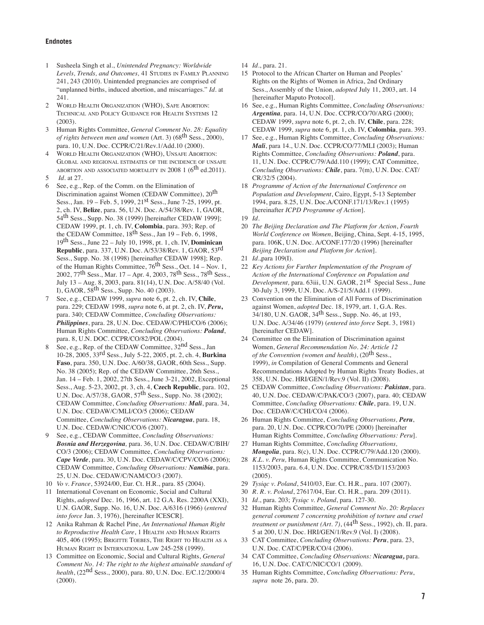#### **Endnotes**

- 1 Susheela Singh et al., *Unintended Pregnancy: Worldwide*  Levels, Trends, and Outcomes, 41 STUDIES IN FAMILY PLANNING 241, 243 (2010). Unintended pregnancies are comprised of "unplanned births, induced abortion, and miscarriages." *Id*. at 241.
- 2 World Health Organization (WHO), Safe Abortion: Technical and Policy Guidance for Health Systems 12 (2003).
- 3 Human Rights Committee, *General Comment No. 28: Equality of rights between men and women* (Art. 3) (68th Sess., 2000), para. 10, U.N. Doc. CCPR/C/21/Rev.1/Add.10 (2000).
- WORLD HEALTH ORGANIZATION (WHO), UNSAFE ABORTION: Global and regional estimates of the incidence of unsafe ABORTION AND ASSOCIATED MORTALITY IN 2008 1 ( $6^{\text{th}}$  ed.2011).
- 5 *Id.* at 27.
- 6 See, e.g., Rep. of the Comm. on the Elimination of Discrimination against Women (CEDAW Committee), 20<sup>th</sup> Sess., Jan.  $19$  – Feb. 5, 1999,  $21<sup>st</sup>$  Sess., June 7-25, 1999, pt. 2, ch. IV, **Belize**, para. 56, U.N. Doc. A/54/38/Rev. 1, GAOR, 54th Sess., Supp. No. 38 (1999) [hereinafter CEDAW 1999]; CEDAW 1999, pt. 1, ch. IV, **Colombia**, para. 393; Rep. of the CEDAW Committee, 18<sup>th</sup> Sess., Jan 19 – Feb. 6, 1998, 19th Sess., June 22 – July 10, 1998, pt. 1, ch. IV, **Dominican Republic**, para. 337, U.N. Doc. A/53/38/Rev. 1, GAOR, 53rd Sess., Supp. No. 38 (1998) [hereinafter CEDAW 1998]; Rep. of the Human Rights Committee, 76<sup>th</sup> Sess., Oct. 14 – Nov. 1, 2002, 77th Sess., Mar. 17 – Apr. 4, 2003, 78th Sess., 78th Sess., July 13 – Aug. 8, 2003, para. 81(14), U.N. Doc. A/58/40 (Vol. I), GAOR, 58th Sess., Supp. No. 40 (2003).
- 7 See, e.g., CEDAW 1999, *supra* note 6, pt. 2, ch. IV, **Chile**, para. 229; CEDAW 1998, *supra* note 6, at pt. 2, ch. IV, *Peru***,** para. 340; CEDAW Committee, *Concluding Observations: Philippines*, para. 28, U.N. Doc. CEDAW/C/PHI/CO/6 (2006); Human Rights Committee, *Concluding Observations: Poland*, para. 8, U.N. DOC. CCPR/CO/82/POL (2004).
- 8 See, e.g., Rep. of the CEDAW Committee, 32nd Sess., Jan 10-28, 2005, 33rd Sess., July 5-22, 2005, pt. 2, ch. 4, **Burkina Faso**, para. 350, U.N. Doc. A/60/38, GAOR, 60th Sess., Supp. No. 38 (2005); Rep. of the CEDAW Committee, 26th Sess., Jan. 14 – Feb. 1, 2002, 27th Sess., June 3-21, 2002, Exceptional Sess., Aug. 5-23, 2002, pt. 3, ch. 4, **Czech Republic**, para. 102, U.N. Doc. A/57/38, GAOR, 57th Sess., Supp. No. 38 (2002); CEDAW Committee, *Concluding Observations: Mali*, para. 34, U.N. Doc. CEDAW/C/MLI/CO/5 (2006); CEDAW Committee, *Concluding Observations: Nicaragua*, para. 18, U.N. Doc. CEDAW/C/NIC/CO/6 (2007).
- 9 See, e.g., CEDAW Committee, *Concluding Observations: Bosnia and Herzegovina,* para. 36, U.N. Doc. CEDAW/C/BIH/ CO/3 (2006); CEDAW Committee, *Concluding Observations: Cape Verde*, para. 30, U.N. Doc. CEDAW/C/CPV/CO/6 (2006); CEDAW Committee, *Concluding Observations: Namibia*, para. 25, U.N. Doc. CEDAW/C/NAM/CO/3 (2007).
- 10 *Vo v. France*, 53924/00, Eur. Ct. H.R., para. 85 (2004).
- 11 International Covenant on Economic, Social and Cultural Rights, *adopted* Dec. 16, 1966, art. 12 G.A. Res. 2200A (XXI), U.N. GAOR, Supp. No. 16, U.N. Doc. A/6316 (1966) (*entered into force* Jan. 3, 1976), [hereinafter ICESCR].
- 12 Anika Rahman & Rachel Pine, *An International Human Right*  to Reproductive Health Care, 1 HEALTH AND HUMAN RIGHTS 405, 406 (1995); Brigitte Toebes, The Right to Health as a Human Right in International Law 245-258 (1999).
- 13 Committee on Economic, Social and Cultural Rights, *General Comment No. 14: The right to the highest attainable standard of health*, (22nd Sess., 2000), para. 80, U.N. Doc. E/C.12/2000/4 (2000).
- 14 *Id*., para. 21.
- 15 Protocol to the African Charter on Human and Peoples' Rights on the Rights of Women in Africa, 2nd Ordinary Sess., Assembly of the Union, *adopted* July 11, 2003, art. 14 [hereinafter Maputo Protocol].
- 16 See, e.g., Human Rights Committee, *Concluding Observations: Argentina,* para. 14, U.N. Doc. CCPR/CO/70/ARG (2000); CEDAW 1999, *supra* note 6, pt. 2, ch. IV, **Chile**, para. 228; CEDAW 1999, *supra* note 6, pt. 1, ch. IV, **Colombia**, para. 393.
- 17 See, e.g., Human Rights Committee, *Concluding Observations: Mali*, para 14., U.N. Doc. CCPR/CO/77/MLI (2003); Human Rights Committee, *Concluding Observations: Poland*, para. 11, U.N. Doc. CCPR/C/79/Add.110 (1999); CAT Committee, *Concluding Observations: Chile*, para. 7(m), U.N. Doc. CAT/ CR/32/5 (2004).
- 18 *Programme of Action of the International Conference on Population and Development*, Cairo, Egypt, 5-13 September 1994, para. 8.25, U.N. Doc.A/CONF.171/13/Rev.1 (1995) [hereinafter *ICPD Programme of Action*].
- 19 *Id.*
- 20 *The Beijing Declaration and The Platform for Action*, *Fourth World Conference on Women*, Beijing, China, Sept. 4-15, 1995, para. 106K, U.N. Doc. A/CONF.177/20 (1996) [hereinafter *Beijing Declaration and Platform for Action*].
- 21 *Id*.,para 109(I).
- 22 *Key Actions for Further Implementation of the Program of Action of the International Conference on Population and Development, para. 63iii, U.N. GAOR, 21<sup>st</sup> Special Sess., June* 30-July 3, 1999, U.N. Doc. A/S-21/5/Add.1 (1999).
- 23 Convention on the Elimination of All Forms of Discrimination against Women, *adopted* Dec. 18, 1979, art. 1, G.A. Res. 34/180, U.N. GAOR, 34th Sess., Supp. No. 46, at 193, U.N. Doc. A/34/46 (1979) (*entered into force* Sept. 3, 1981) [hereinafter CEDAW].
- 24 Committee on the Elimination of Discrimination against Women, *General Recommendation No. 24: Article 12 of the Convention (women and health)*, (20th Sess., 1999), *in* Compilation of General Comments and General Recommendations Adopted by Human Rights Treaty Bodies, at 358, U.N. Doc. HRI/GEN/1/Rev.9 (Vol. II) (2008).
- 25 CEDAW Committee, *Concluding Observations: Pakistan*, para. 40, U.N. Doc. CEDAW/C/PAK/CO/3 (2007), para. 40; CEDAW Committee, *Concluding Observations: Chile*, para. 19, U.N. Doc. CEDAW/C/CHI/CO/4 (2006).
- 26 Human Rights Committee, *Concluding Observations, Peru*, para. 20, U.N. Doc. CCPR/CO/70/PE (2000) [hereinafter Human Rights Committee, *Concluding Observations: Peru*].
- 27 Human Rights Committee, *Concluding Observations, Mongolia*, para. 8(c), U.N. Doc. CCPR/C/79/Add.120 (2000).
- 28 *K.L. v. Peru,* Human Rights Committee, Communication No. 1153/2003, para. 6.4, U.N. Doc. CCPR/C/85/D/1153/2003 (2005).
- 29 *Tysiąc v. Poland*, 5410/03, Eur. Ct. H.R., para. 107 (2007).
- 30 *R. R. v. Poland*, 27617/04, Eur. Ct. H.R., para. 209 (2011).
- 31 *Id.*, para. 203; *Tysiąc v. Poland*, para. 127-30.
- 32 Human Rights Committee, *General Comment No. 20: Replaces general comment 7 concerning prohibition of torture and cruel treatment or punishment (Art. 7)*, (44<sup>th</sup> Sess., 1992), ch. II, para. 5 at 200, U.N. Doc. HRI/GEN/1/Rev.9 (Vol. I) (2008).
- 33 CAT Committee, *Concluding Observations: Peru*, para. 23, U.N. Doc. CAT/C/PER/CO/4 (2006).
- 34 CAT Committee, *Concluding Observations: Nicaragua,* para. 16, U.N. Doc. CAT/C/NIC/CO/1 (2009).
- 35 Human Rights Committee, *Concluding Observations: Peru*, *supra* note 26, para. 20.